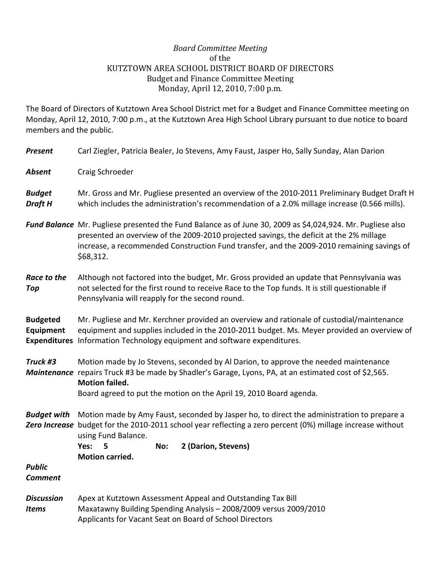## *Board Committee Meeting*  of the KUTZTOWN AREA SCHOOL DISTRICT BOARD OF DIRECTORS Budget and Finance Committee Meeting Monday, April 12, 2010, 7:00 p.m.

The Board of Directors of Kutztown Area School District met for a Budget and Finance Committee meeting on Monday, April 12, 2010, 7:00 p.m., at the Kutztown Area High School Library pursuant to due notice to board members and the public.

| Present                           | Carl Ziegler, Patricia Bealer, Jo Stevens, Amy Faust, Jasper Ho, Sally Sunday, Alan Darion                                                                                                                                                                                                                       |  |  |
|-----------------------------------|------------------------------------------------------------------------------------------------------------------------------------------------------------------------------------------------------------------------------------------------------------------------------------------------------------------|--|--|
| <b>Absent</b>                     | Craig Schroeder                                                                                                                                                                                                                                                                                                  |  |  |
| <b>Budget</b><br><b>Draft H</b>   | Mr. Gross and Mr. Pugliese presented an overview of the 2010-2011 Preliminary Budget Draft H<br>which includes the administration's recommendation of a 2.0% millage increase (0.566 mills).                                                                                                                     |  |  |
|                                   | Fund Balance Mr. Pugliese presented the Fund Balance as of June 30, 2009 as \$4,024,924. Mr. Pugliese also<br>presented an overview of the 2009-2010 projected savings, the deficit at the 2% millage<br>increase, a recommended Construction Fund transfer, and the 2009-2010 remaining savings of<br>\$68,312. |  |  |
| Race to the<br>Top                | Although not factored into the budget, Mr. Gross provided an update that Pennsylvania was<br>not selected for the first round to receive Race to the Top funds. It is still questionable if<br>Pennsylvania will reapply for the second round.                                                                   |  |  |
| <b>Budgeted</b><br>Equipment      | Mr. Pugliese and Mr. Kerchner provided an overview and rationale of custodial/maintenance<br>equipment and supplies included in the 2010-2011 budget. Ms. Meyer provided an overview of<br>Expenditures Information Technology equipment and software expenditures.                                              |  |  |
| Truck #3                          | Motion made by Jo Stevens, seconded by Al Darion, to approve the needed maintenance<br>Maintenance repairs Truck #3 be made by Shadler's Garage, Lyons, PA, at an estimated cost of \$2,565.<br><b>Motion failed.</b><br>Board agreed to put the motion on the April 19, 2010 Board agenda.                      |  |  |
| <b>Budget with</b>                | Motion made by Amy Faust, seconded by Jasper ho, to direct the administration to prepare a<br>Zero Increase budget for the 2010-2011 school year reflecting a zero percent (0%) millage increase without<br>using Fund Balance.<br>Yes:<br>2 (Darion, Stevens)<br>5<br>No:<br><b>Motion carried.</b>             |  |  |
| <b>Public</b><br><b>Comment</b>   |                                                                                                                                                                                                                                                                                                                  |  |  |
| <b>Discussion</b><br><b>Items</b> | Apex at Kutztown Assessment Appeal and Outstanding Tax Bill<br>Maxatawny Building Spending Analysis - 2008/2009 versus 2009/2010<br>Applicants for Vacant Seat on Board of School Directors                                                                                                                      |  |  |